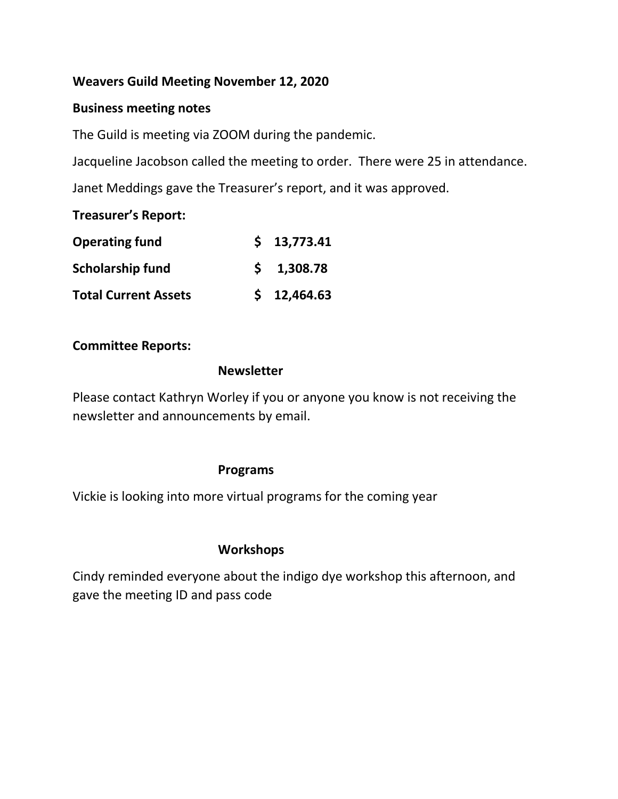# **Weavers Guild Meeting November 12, 2020**

## **Business meeting notes**

The Guild is meeting via ZOOM during the pandemic.

Jacqueline Jacobson called the meeting to order. There were 25 in attendance.

Janet Meddings gave the Treasurer's report, and it was approved.

## **Treasurer's Report:**

| <b>Operating fund</b>       | \$13,773.41        |
|-----------------------------|--------------------|
| <b>Scholarship fund</b>     | $5 \quad 1,308.78$ |
| <b>Total Current Assets</b> | \$12,464.63        |

## **Committee Reports:**

#### **Newsletter**

Please contact Kathryn Worley if you or anyone you know is not receiving the newsletter and announcements by email.

## **Programs**

Vickie is looking into more virtual programs for the coming year

# **Workshops**

Cindy reminded everyone about the indigo dye workshop this afternoon, and gave the meeting ID and pass code